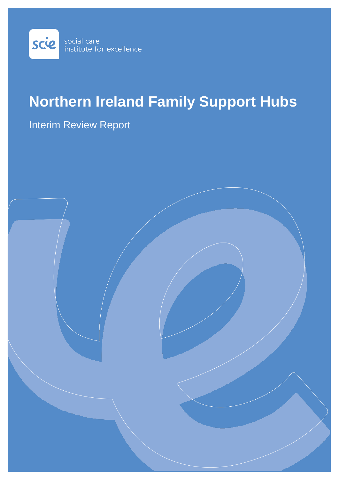

# **Northern Ireland Family Support Hubs**

# Interim Review Report

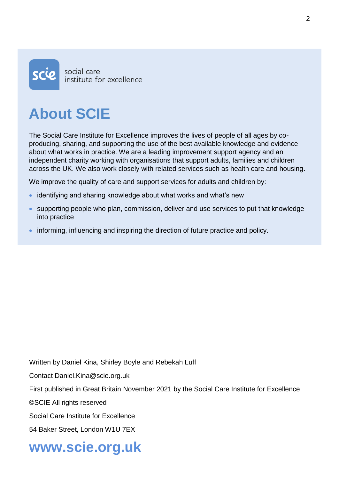

# **About SCIE**

The Social Care Institute for Excellence improves the lives of people of all ages by coproducing, sharing, and supporting the use of the best available knowledge and evidence about what works in practice. We are a leading improvement support agency and an independent charity working with organisations that support adults, families and children across the UK. We also work closely with related services such as health care and housing.

We improve the quality of care and support services for adults and children by:

- identifying and sharing knowledge about what works and what's new
- supporting people who plan, commission, deliver and use services to put that knowledge into practice
- informing, influencing and inspiring the direction of future practice and policy.

Written by Daniel Kina, Shirley Boyle and Rebekah Luff

Contact Daniel.Kina@scie.org.uk

First published in Great Britain November 2021 by the Social Care Institute for Excellence

©SCIE All rights reserved

Social Care Institute for Excellence

54 Baker Street, London W1U 7EX

# **www.scie.org.uk**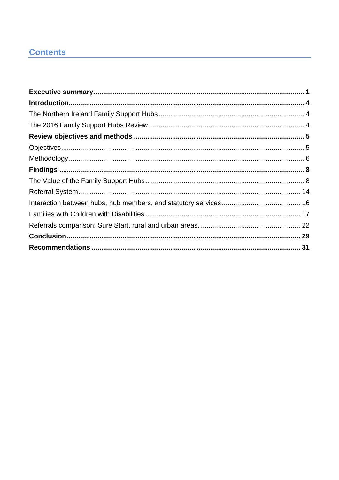# **Contents**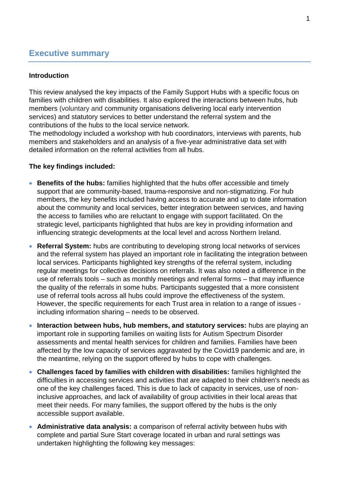# <span id="page-5-0"></span>**Executive summary**

#### **Introduction**

This review analysed the key impacts of the Family Support Hubs with a specific focus on families with children with disabilities. It also explored the interactions between hubs, hub members (voluntary and community organisations delivering local early intervention services) and statutory services to better understand the referral system and the contributions of the hubs to the local service network.

The methodology included a workshop with hub coordinators, interviews with parents, hub members and stakeholders and an analysis of a five-year administrative data set with detailed information on the referral activities from all hubs.

#### **The key findings included:**

- **Benefits of the hubs:** families highlighted that the hubs offer accessible and timely support that are community-based, trauma-responsive and non-stigmatizing. For hub members, the key benefits included having access to accurate and up to date information about the community and local services, better integration between services, and having the access to families who are reluctant to engage with support facilitated. On the strategic level, participants highlighted that hubs are key in providing information and influencing strategic developments at the local level and across Northern Ireland.
- **Referral System:** hubs are contributing to developing strong local networks of services and the referral system has played an important role in facilitating the integration between local services. Participants highlighted key strengths of the referral system, including regular meetings for collective decisions on referrals. It was also noted a difference in the use of referrals tools – such as monthly meetings and referral forms – that may influence the quality of the referrals in some hubs. Participants suggested that a more consistent use of referral tools across all hubs could improve the effectiveness of the system. However, the specific requirements for each Trust area in relation to a range of issues including information sharing – needs to be observed.
- **Interaction between hubs, hub members, and statutory services:** hubs are playing an important role in supporting families on waiting lists for Autism Spectrum Disorder assessments and mental health services for children and families. Families have been affected by the low capacity of services aggravated by the Covid19 pandemic and are, in the meantime, relying on the support offered by hubs to cope with challenges.
- **Challenges faced by families with children with disabilities:** families highlighted the difficulties in accessing services and activities that are adapted to their children's needs as one of the key challenges faced. This is due to lack of capacity in services, use of noninclusive approaches, and lack of availability of group activities in their local areas that meet their needs. For many families, the support offered by the hubs is the only accessible support available.
- **Administrative data analysis:** a comparison of referral activity between hubs with complete and partial Sure Start coverage located in urban and rural settings was undertaken highlighting the following key messages: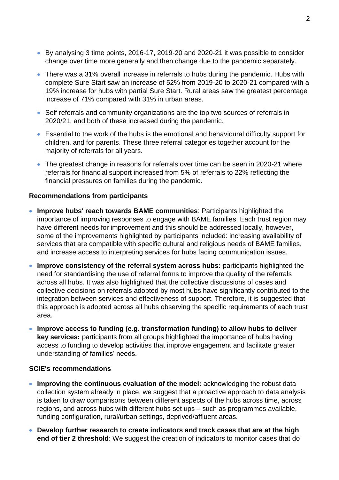- By analysing 3 time points, 2016-17, 2019-20 and 2020-21 it was possible to consider change over time more generally and then change due to the pandemic separately.
- There was a 31% overall increase in referrals to hubs during the pandemic. Hubs with complete Sure Start saw an increase of 52% from 2019-20 to 2020-21 compared with a 19% increase for hubs with partial Sure Start. Rural areas saw the greatest percentage increase of 71% compared with 31% in urban areas.
- Self referrals and community organizations are the top two sources of referrals in 2020/21, and both of these increased during the pandemic.
- Essential to the work of the hubs is the emotional and behavioural difficulty support for children, and for parents. These three referral categories together account for the majority of referrals for all years.
- The greatest change in reasons for referrals over time can be seen in 2020-21 where referrals for financial support increased from 5% of referrals to 22% reflecting the financial pressures on families during the pandemic.

#### **Recommendations from participants**

- **Improve hubs' reach towards BAME communities**: Participants highlighted the importance of improving responses to engage with BAME families. Each trust region may have different needs for improvement and this should be addressed locally, however, some of the improvements highlighted by participants included: increasing availability of services that are compatible with specific cultural and religious needs of BAME families, and increase access to interpreting services for hubs facing communication issues.
- **Improve consistency of the referral system across hubs:** participants highlighted the need for standardising the use of referral forms to improve the quality of the referrals across all hubs. It was also highlighted that the collective discussions of cases and collective decisions on referrals adopted by most hubs have significantly contributed to the integration between services and effectiveness of support. Therefore, it is suggested that this approach is adopted across all hubs observing the specific requirements of each trust area.
- **Improve access to funding (e.g. transformation funding) to allow hubs to deliver key services:** participants from all groups highlighted the importance of hubs having access to funding to develop activities that improve engagement and facilitate greater understanding of families' needs.

#### **SCIE's recommendations**

- **Improving the continuous evaluation of the model:** acknowledging the robust data collection system already in place, we suggest that a proactive approach to data analysis is taken to draw comparisons between different aspects of the hubs across time, across regions, and across hubs with different hubs set ups – such as programmes available, funding configuration, rural/urban settings, deprived/affluent areas.
- **Develop further research to create indicators and track cases that are at the high end of tier 2 threshold**: We suggest the creation of indicators to monitor cases that do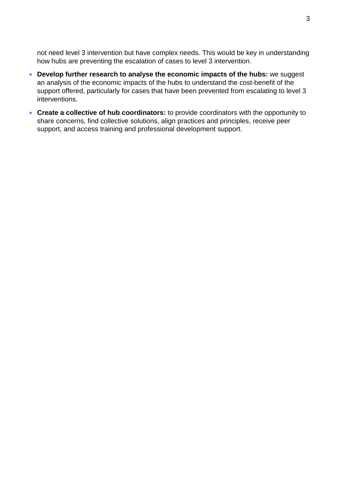not need level 3 intervention but have complex needs. This would be key in understanding how hubs are preventing the escalation of cases to level 3 intervention.

- **Develop further research to analyse the economic impacts of the hubs:** we suggest an analysis of the economic impacts of the hubs to understand the cost-benefit of the support offered, particularly for cases that have been prevented from escalating to level 3 interventions.
- **Create a collective of hub coordinators:** to provide coordinators with the opportunity to share concerns, find collective solutions, align practices and principles, receive peer support, and access training and professional development support.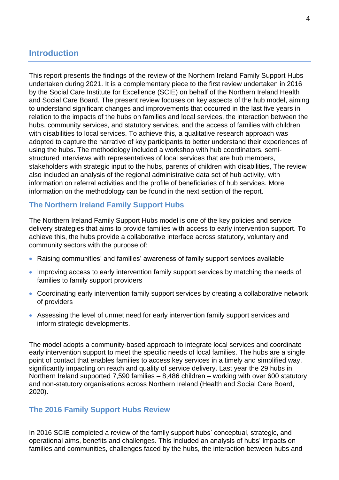# <span id="page-8-0"></span>**Introduction**

This report presents the findings of the review of the Northern Ireland Family Support Hubs undertaken during 2021. It is a complementary piece to the first review undertaken in 2016 by the Social Care Institute for Excellence (SCIE) on behalf of the Northern Ireland Health and Social Care Board. The present review focuses on key aspects of the hub model, aiming to understand significant changes and improvements that occurred in the last five years in relation to the impacts of the hubs on families and local services, the interaction between the hubs, community services, and statutory services, and the access of families with children with disabilities to local services. To achieve this, a qualitative research approach was adopted to capture the narrative of key participants to better understand their experiences of using the hubs. The methodology included a workshop with hub coordinators, semistructured interviews with representatives of local services that are hub members, stakeholders with strategic input to the hubs, parents of children with disabilities, The review also included an analysis of the regional administrative data set of hub activity, with information on referral activities and the profile of beneficiaries of hub services. More information on the methodology can be found in the next section of the report.

# <span id="page-8-1"></span>**The Northern Ireland Family Support Hubs**

The Northern Ireland Family Support Hubs model is one of the key policies and service delivery strategies that aims to provide families with access to early intervention support. To achieve this, the hubs provide a collaborative interface across statutory, voluntary and community sectors with the purpose of:

- Raising communities' and families' awareness of family support services available
- Improving access to early intervention family support services by matching the needs of families to family support providers
- Coordinating early intervention family support services by creating a collaborative network of providers
- Assessing the level of unmet need for early intervention family support services and inform strategic developments.

The model adopts a community-based approach to integrate local services and coordinate early intervention support to meet the specific needs of local families. The hubs are a single point of contact that enables families to access key services in a timely and simplified way, significantly impacting on reach and quality of service delivery. Last year the 29 hubs in Northern Ireland supported 7,590 families – 8,486 children – working with over 600 statutory and non-statutory organisations across Northern Ireland (Health and Social Care Board, 2020).

#### <span id="page-8-2"></span>**The 2016 Family Support Hubs Review**

In 2016 SCIE completed a review of the family support hubs' conceptual, strategic, and operational aims, benefits and challenges. This included an analysis of hubs' impacts on families and communities, challenges faced by the hubs, the interaction between hubs and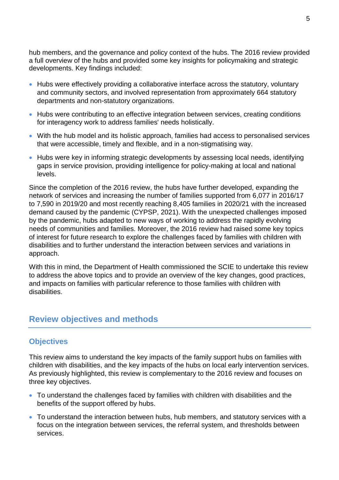hub members, and the governance and policy context of the hubs. The 2016 review provided a full overview of the hubs and provided some key insights for policymaking and strategic developments. Key findings included:

- Hubs were effectively providing a collaborative interface across the statutory, voluntary and community sectors, and involved representation from approximately 664 statutory departments and non-statutory organizations.
- Hubs were contributing to an effective integration between services, creating conditions for interagency work to address families' needs holistically.
- With the hub model and its holistic approach, families had access to personalised services that were accessible, timely and flexible, and in a non-stigmatising way.
- Hubs were key in informing strategic developments by assessing local needs, identifying gaps in service provision, providing intelligence for policy-making at local and national levels.

Since the completion of the 2016 review, the hubs have further developed, expanding the network of services and increasing the number of families supported from 6,077 in 2016/17 to 7,590 in 2019/20 and most recently reaching 8,405 families in 2020/21 with the increased demand caused by the pandemic (CYPSP, 2021). With the unexpected challenges imposed by the pandemic, hubs adapted to new ways of working to address the rapidly evolving needs of communities and families. Moreover, the 2016 review had raised some key topics of interest for future research to explore the challenges faced by families with children with disabilities and to further understand the interaction between services and variations in approach.

With this in mind, the Department of Health commissioned the SCIE to undertake this review to address the above topics and to provide an overview of the key changes, good practices, and impacts on families with particular reference to those families with children with disabilities.

# <span id="page-9-0"></span>**Review objectives and methods**

# <span id="page-9-1"></span>**Objectives**

This review aims to understand the key impacts of the family support hubs on families with children with disabilities, and the key impacts of the hubs on local early intervention services. As previously highlighted, this review is complementary to the 2016 review and focuses on three key objectives.

- To understand the challenges faced by families with children with disabilities and the benefits of the support offered by hubs.
- To understand the interaction between hubs, hub members, and statutory services with a focus on the integration between services, the referral system, and thresholds between services.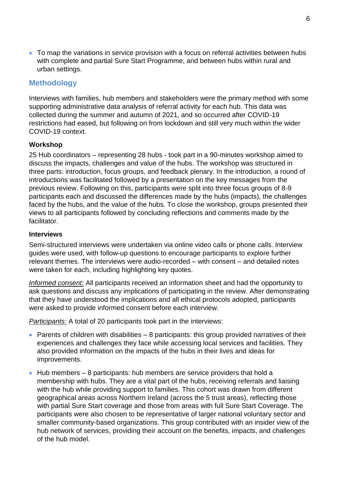• To map the variations in service provision with a focus on referral activities between hubs with complete and partial Sure Start Programme, and between hubs within rural and urban settings.

# <span id="page-10-0"></span>**Methodology**

Interviews with families, hub members and stakeholders were the primary method with some supporting administrative data analysis of referral activity for each hub. This data was collected during the summer and autumn of 2021, and so occurred after COVID-19 restrictions had eased, but following on from lockdown and still very much within the wider COVID-19 context.

#### **Workshop**

25 Hub coordinators – representing 28 hubs - took part in a 90-minutes workshop aimed to discuss the impacts, challenges and value of the hubs. The workshop was structured in three parts: introduction, focus groups, and feedback plenary. In the introduction, a round of introductions was facilitated followed by a presentation on the key messages from the previous review. Following on this, participants were split into three focus groups of 8-9 participants each and discussed the differences made by the hubs (impacts), the challenges faced by the hubs, and the value of the hubs. To close the workshop, groups presented their views to all participants followed by concluding reflections and comments made by the facilitator.

#### **Interviews**

Semi-structured interviews were undertaken via online video calls or phone calls. Interview guides were used, with follow-up questions to encourage participants to explore further relevant themes. The interviews were audio-recorded – with consent – and detailed notes were taken for each, including highlighting key quotes.

*Informed consent:* All participants received an information sheet and had the opportunity to ask questions and discuss any implications of participating in the review. After demonstrating that they have understood the implications and all ethical protocols adopted, participants were asked to provide informed consent before each interview.

*Participants:* A total of 20 participants took part in the interviews:

- Parents of children with disabilities  $-8$  participants: this group provided narratives of their experiences and challenges they face while accessing local services and facilities. They also provided information on the impacts of the hubs in their lives and ideas for improvements.
- Hub members 8 participants: hub members are service providers that hold a membership with hubs. They are a vital part of the hubs, receiving referrals and liaising with the hub while providing support to families. This cohort was drawn from different geographical areas across Northern Ireland (across the 5 trust areas), reflecting those with partial Sure Start coverage and those from areas with full Sure Start Coverage. The participants were also chosen to be representative of larger national voluntary sector and smaller community-based organizations. This group contributed with an insider view of the hub network of services, providing their account on the benefits, impacts, and challenges of the hub model.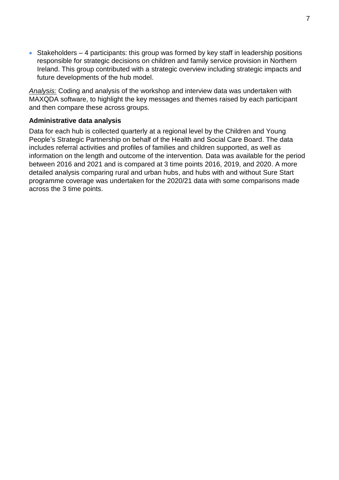• Stakeholders – 4 participants: this group was formed by key staff in leadership positions responsible for strategic decisions on children and family service provision in Northern Ireland. This group contributed with a strategic overview including strategic impacts and future developments of the hub model.

*Analysis:* Coding and analysis of the workshop and interview data was undertaken with MAXQDA software, to highlight the key messages and themes raised by each participant and then compare these across groups.

#### **Administrative data analysis**

Data for each hub is collected quarterly at a regional level by the Children and Young People's Strategic Partnership on behalf of the Health and Social Care Board. The data includes referral activities and profiles of families and children supported, as well as information on the length and outcome of the intervention. Data was available for the period between 2016 and 2021 and is compared at 3 time points 2016, 2019, and 2020. A more detailed analysis comparing rural and urban hubs, and hubs with and without Sure Start programme coverage was undertaken for the 2020/21 data with some comparisons made across the 3 time points.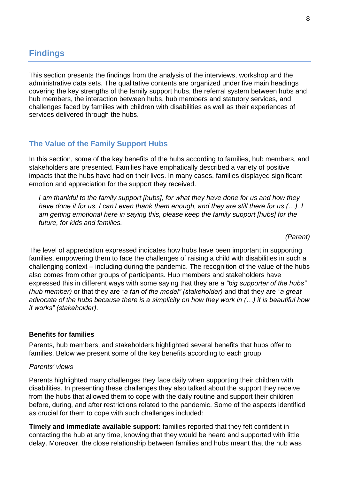# <span id="page-12-0"></span>**Findings**

This section presents the findings from the analysis of the interviews, workshop and the administrative data sets. The qualitative contents are organized under five main headings covering the key strengths of the family support hubs, the referral system between hubs and hub members, the interaction between hubs, hub members and statutory services, and challenges faced by families with children with disabilities as well as their experiences of services delivered through the hubs.

### <span id="page-12-1"></span>**The Value of the Family Support Hubs**

In this section, some of the key benefits of the hubs according to families, hub members, and stakeholders are presented. Families have emphatically described a variety of positive impacts that the hubs have had on their lives. In many cases, families displayed significant emotion and appreciation for the support they received.

*I am thankful to the family support [hubs], for what they have done for us and how they have done it for us. I can't even thank them enough, and they are still there for us (…). I am getting emotional here in saying this, please keep the family support [hubs] for the future, for kids and families.* 

*(Parent)*

The level of appreciation expressed indicates how hubs have been important in supporting families, empowering them to face the challenges of raising a child with disabilities in such a challenging context – including during the pandemic. The recognition of the value of the hubs also comes from other groups of participants. Hub members and stakeholders have expressed this in different ways with some saying that they are a *"big supporter of the hubs" (hub member)* or that they are *"a fan of the model" (stakeholder)* and that they are *"a great advocate of the hubs because there is a simplicity on how they work in (…) it is beautiful how it works" (stakeholder)*.

#### **Benefits for families**

Parents, hub members, and stakeholders highlighted several benefits that hubs offer to families. Below we present some of the key benefits according to each group.

#### *Parents' views*

Parents highlighted many challenges they face daily when supporting their children with disabilities. In presenting these challenges they also talked about the support they receive from the hubs that allowed them to cope with the daily routine and support their children before, during, and after restrictions related to the pandemic. Some of the aspects identified as crucial for them to cope with such challenges included:

**Timely and immediate available support:** families reported that they felt confident in contacting the hub at any time, knowing that they would be heard and supported with little delay. Moreover, the close relationship between families and hubs meant that the hub was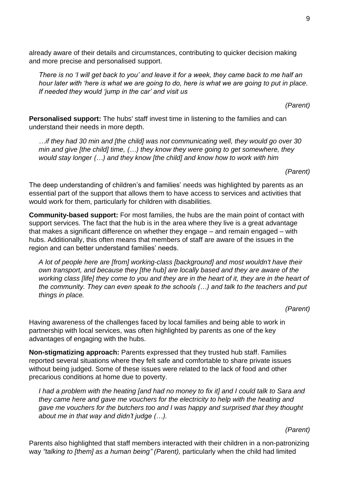already aware of their details and circumstances, contributing to quicker decision making and more precise and personalised support.

*There is no 'I will get back to you' and leave it for a week, they came back to me half an hour later with 'here is what we are going to do, here is what we are going to put in place. If needed they would 'jump in the car' and visit us*

*(Parent)*

**Personalised support:** The hubs' staff invest time in listening to the families and can understand their needs in more depth.

*…if they had 30 min and [the child] was not communicating well, they would go over 30 min and give [the child] time, (…) they know they were going to get somewhere, they would stay longer (…) and they know [the child] and know how to work with him*

*(Parent)*

The deep understanding of children's and families' needs was highlighted by parents as an essential part of the support that allows them to have access to services and activities that would work for them, particularly for children with disabilities.

**Community-based support:** For most families, the hubs are the main point of contact with support services. The fact that the hub is in the area where they live is a great advantage that makes a significant difference on whether they engage – and remain engaged – with hubs. Additionally, this often means that members of staff are aware of the issues in the region and can better understand families' needs.

*A lot of people here are [from] working-class [background] and most wouldn't have their own transport, and because they [the hub] are locally based and they are aware of the working class [life] they come to you and they are in the heart of it, they are in the heart of the community. They can even speak to the schools (…) and talk to the teachers and put things in place.*

*(Parent)*

Having awareness of the challenges faced by local families and being able to work in partnership with local services, was often highlighted by parents as one of the key advantages of engaging with the hubs.

**Non-stigmatizing approach:** Parents expressed that they trusted hub staff. Families reported several situations where they felt safe and comfortable to share private issues without being judged. Some of these issues were related to the lack of food and other precarious conditions at home due to poverty.

*I had a problem with the heating [and had no money to fix it] and I could talk to Sara and they came here and gave me vouchers for the electricity to help with the heating and gave me vouchers for the butchers too and I was happy and surprised that they thought about me in that way and didn't judge (…).*

*(Parent)*

Parents also highlighted that staff members interacted with their children in a non-patronizing way *"talking to [them] as a human being" (Parent),* particularly when the child had limited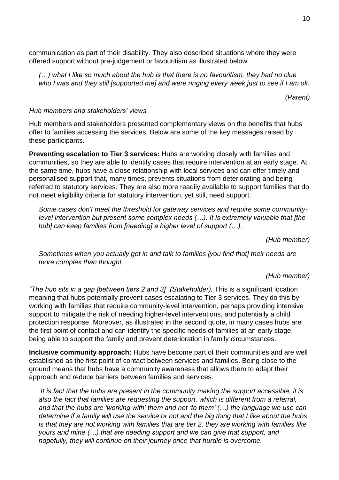communication as part of their disability*.* They also described situations where they were offered support without pre-judgement or favouritism as illustrated below.

*(…) what I like so much about the hub is that there is no favouritism, they had no clue who I was and they still [supported me] and were ringing every week just to see if I am ok.*

*(Parent)* 

#### *Hub members and stakeholders' views*

Hub members and stakeholders presented complementary views on the benefits that hubs offer to families accessing the services. Below are some of the key messages raised by these participants.

**Preventing escalation to Tier 3 services:** Hubs are working closely with families and communities, so they are able to identify cases that require intervention at an early stage. At the same time, hubs have a close relationship with local services and can offer timely and personalised support that, many times, prevents situations from deteriorating and being referred to statutory services. They are also more readily available to support families that do not meet eligibility criteria for statutory intervention, yet still, need support.

*Some cases don't meet the threshold for gateway services and require some communitylevel intervention but present some complex needs (…). It is extremely valuable that [the hub] can keep families from [needing] a higher level of support (…).* 

*(Hub member)*

*Sometimes when you actually get in and talk to families [you find that] their needs are more complex than thought.*

*(Hub member)*

*"The hub sits in a gap [between tiers 2 and 3]" (Stakeholder).* This is a significant location meaning that hubs potentially prevent cases escalating to Tier 3 services. They do this by working with families that require community-level intervention, perhaps providing intensive support to mitigate the risk of needing higher-level interventions, and potentially a child protection response. Moreover, as illustrated in the second quote, in many cases hubs are the first point of contact and can identify the specific needs of families at an early stage, being able to support the family and prevent deterioration in family circumstances.

**Inclusive community approach:** Hubs have become part of their communities and are well established as the first point of contact between services and families. Being close to the ground means that hubs have a community awareness that allows them to adapt their approach and reduce barriers between families and services.

*It is fact that the hubs are present in the community making the support accessible, it is also the fact that families are requesting the support, which is different from a referral, and that the hubs are 'working with' them and not 'to them' (…) the language we use can determine if a family will use the service or not and the big thing that I like about the hubs is that they are not working with families that are tier 2, they are working with families like yours and mine (…) that are needing support and we can give that support, and hopefully, they will continue on their journey once that hurdle is overcome.*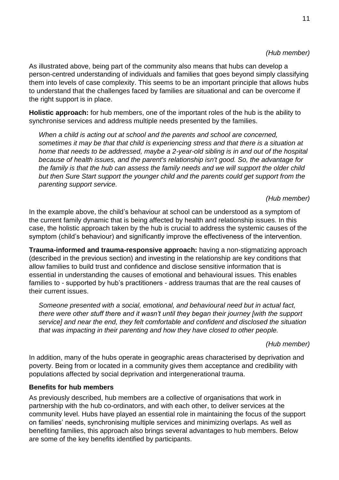#### *(Hub member)*

As illustrated above, being part of the community also means that hubs can develop a person-centred understanding of individuals and families that goes beyond simply classifying them into levels of case complexity. This seems to be an important principle that allows hubs to understand that the challenges faced by families are situational and can be overcome if the right support is in place.

**Holistic approach:** for hub members, one of the important roles of the hub is the ability to synchronise services and address multiple needs presented by the families.

*When a child is acting out at school and the parents and school are concerned, sometimes it may be that that child is experiencing stress and that there is a situation at home that needs to be addressed, maybe a 2-year-old sibling is in and out of the hospital because of health issues, and the parent's relationship isn't good. So, the advantage for the family is that the hub can assess the family needs and we will support the older child but then Sure Start support the younger child and the parents could get support from the parenting support service.* 

#### *(Hub member)*

In the example above, the child's behaviour at school can be understood as a symptom of the current family dynamic that is being affected by health and relationship issues. In this case, the holistic approach taken by the hub is crucial to address the systemic causes of the symptom (child's behaviour) and significantly improve the effectiveness of the intervention.

**Trauma-informed and trauma-responsive approach:** having a non-stigmatizing approach (described in the previous section) and investing in the relationship are key conditions that allow families to build trust and confidence and disclose sensitive information that is essential in understanding the causes of emotional and behavioural issues. This enables families to - supported by hub's practitioners - address traumas that are the real causes of their current issues.

*Someone presented with a social, emotional, and behavioural need but in actual fact, there were other stuff there and it wasn't until they began their journey [with the support service] and near the end, they felt comfortable and confident and disclosed the situation that was impacting in their parenting and how they have closed to other people.*

*(Hub member)*

In addition, many of the hubs operate in geographic areas characterised by deprivation and poverty. Being from or located in a community gives them acceptance and credibility with populations affected by social deprivation and intergenerational trauma.

#### **Benefits for hub members**

As previously described, hub members are a collective of organisations that work in partnership with the hub co-ordinators, and with each other, to deliver services at the community level. Hubs have played an essential role in maintaining the focus of the support on families' needs, synchronising multiple services and minimizing overlaps. As well as benefiting families, this approach also brings several advantages to hub members. Below are some of the key benefits identified by participants.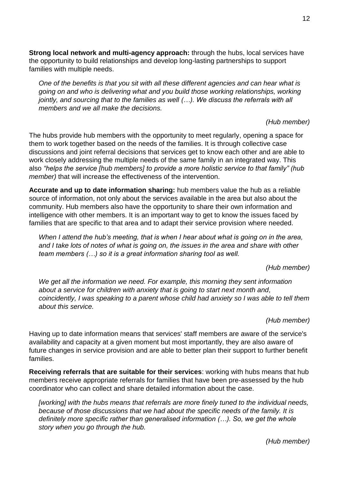**Strong local network and multi-agency approach:** through the hubs, local services have the opportunity to build relationships and develop long-lasting partnerships to support families with multiple needs.

*One of the benefits is that you sit with all these different agencies and can hear what is going on and who is delivering what and you build those working relationships, working jointly, and sourcing that to the families as well (…). We discuss the referrals with all members and we all make the decisions.* 

*(Hub member)*

The hubs provide hub members with the opportunity to meet regularly, opening a space for them to work together based on the needs of the families. It is through collective case discussions and joint referral decisions that services get to know each other and are able to work closely addressing the multiple needs of the same family in an integrated way. This also *"helps the service [hub members] to provide a more holistic service to that family" (hub member)* that will increase the effectiveness of the intervention.

**Accurate and up to date information sharing:** hub members value the hub as a reliable source of information, not only about the services available in the area but also about the community. Hub members also have the opportunity to share their own information and intelligence with other members. It is an important way to get to know the issues faced by families that are specific to that area and to adapt their service provision where needed.

*When I attend the hub's meeting, that is when I hear about what is going on in the area, and I take lots of notes of what is going on, the issues in the area and share with other team members (…) so it is a great information sharing tool as well.* 

*(Hub member)*

*We get all the information we need. For example, this morning they sent information about a service for children with anxiety that is going to start next month and, coincidently, I was speaking to a parent whose child had anxiety so I was able to tell them about this service.*

*(Hub member)*

Having up to date information means that services' staff members are aware of the service's availability and capacity at a given moment but most importantly, they are also aware of future changes in service provision and are able to better plan their support to further benefit families.

**Receiving referrals that are suitable for their services**: working with hubs means that hub members receive appropriate referrals for families that have been pre-assessed by the hub coordinator who can collect and share detailed information about the case.

*[working] with the hubs means that referrals are more finely tuned to the individual needs, because of those discussions that we had about the specific needs of the family. It is definitely more specific rather than generalised information (…). So, we get the whole story when you go through the hub.*

*(Hub member)*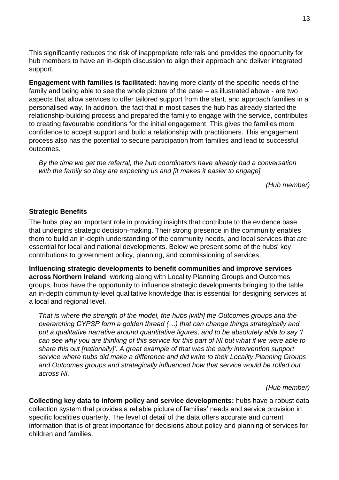This significantly reduces the risk of inappropriate referrals and provides the opportunity for hub members to have an in-depth discussion to align their approach and deliver integrated support.

**Engagement with families is facilitated:** having more clarity of the specific needs of the family and being able to see the whole picture of the case – as illustrated above - are two aspects that allow services to offer tailored support from the start, and approach families in a personalised way. In addition, the fact that in most cases the hub has already started the relationship-building process and prepared the family to engage with the service, contributes to creating favourable conditions for the initial engagement. This gives the families more confidence to accept support and build a relationship with practitioners. This engagement process also has the potential to secure participation from families and lead to successful outcomes.

*By the time we get the referral, the hub coordinators have already had a conversation with the family so they are expecting us and [it makes it easier to engage]*

*(Hub member)*

#### **Strategic Benefits**

The hubs play an important role in providing insights that contribute to the evidence base that underpins strategic decision-making. Their strong presence in the community enables them to build an in-depth understanding of the community needs, and local services that are essential for local and national developments. Below we present some of the hubs' key contributions to government policy, planning, and commissioning of services.

**Influencing strategic developments to benefit communities and improve services across Northern Ireland**: working along with Locality Planning Groups and Outcomes groups, hubs have the opportunity to influence strategic developments bringing to the table an in-depth community-level qualitative knowledge that is essential for designing services at a local and regional level.

*That is where the strength of the model, the hubs [with] the Outcomes groups and the overarching CYPSP form a golden thread (…) that can change things strategically and put a qualitative narrative around quantitative figures, and to be absolutely able to say 'I can see why you are thinking of this service for this part of NI but what if we were able to share this out [nationally]'. A great example of that was the early intervention support service where hubs did make a difference and did write to their Locality Planning Groups and Outcomes groups and strategically influenced how that service would be rolled out across NI.* 

#### *(Hub member)*

**Collecting key data to inform policy and service developments:** hubs have a robust data collection system that provides a reliable picture of families' needs and service provision in specific localities quarterly. The level of detail of the data offers accurate and current information that is of great importance for decisions about policy and planning of services for children and families.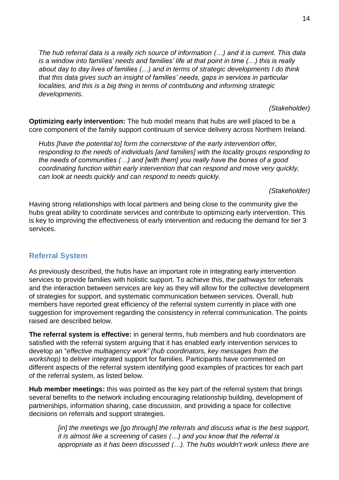*The hub referral data is a really rich source of information (…) and it is current. This data is a window into families' needs and families' life at that point in time (…) this is really about day to day lives of families (…) and in terms of strategic developments I do think that this data gives such an insight of families' needs, gaps in services in particular localities, and this is a big thing in terms of contributing and informing strategic developments.* 

*(Stakeholder)*

**Optimizing early intervention:** The hub model means that hubs are well placed to be a core component of the family support continuum of service delivery across Northern Ireland.

*Hubs [have the potential to] form the cornerstone of the early intervention offer, responding to the needs of individuals [and families] with the locality groups responding to the needs of communities (…) and [with them] you really have the bones of a good coordinating function within early intervention that can respond and move very quickly, can look at needs quickly and can respond to needs quickly.* 

*(Stakeholder)*

Having strong relationships with local partners and being close to the community give the hubs great ability to coordinate services and contribute to optimizing early intervention. This is key to improving the effectiveness of early intervention and reducing the demand for tier 3 services.

# <span id="page-18-0"></span>**Referral System**

As previously described, the hubs have an important role in integrating early intervention services to provide families with holistic support. To achieve this, the pathways for referrals and the interaction between services are key as they will allow for the collective development of strategies for support, and systematic communication between services. Overall, hub members have reported great efficiency of the referral system currently in place with one suggestion for improvement regarding the consistency in referral communication. The points raised are described below.

**The referral system is effective:** in general terms, hub members and hub coordinators are satisfied with the referral system arguing that it has enabled early intervention services to develop an "*effective multiagency work" (hub coordinators, key messages from the workshop)* to deliver integrated support for families. Participants have commented on different aspects of the referral system identifying good examples of practices for each part of the referral system, as listed below.

**Hub member meetings:** this was pointed as the key part of the referral system that brings several benefits to the network including encouraging relationship building, development of partnerships, information sharing, case discussion, and providing a space for collective decisions on referrals and support strategies.

> [in] the meetings we [go through] the referrals and discuss what is the best support, *it is almost like a screening of cases (…) and you know that the referral is appropriate as it has been discussed (…). The hubs wouldn't work unless there are*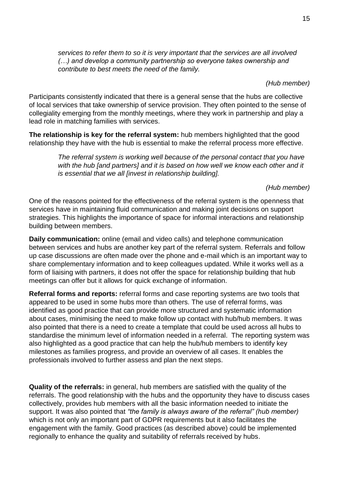*services to refer them to so it is very important that the services are all involved (…) and develop a community partnership so everyone takes ownership and contribute to best meets the need of the family.* 

*(Hub member)*

Participants consistently indicated that there is a general sense that the hubs are collective of local services that take ownership of service provision. They often pointed to the sense of collegiality emerging from the monthly meetings, where they work in partnership and play a lead role in matching families with services.

**The relationship is key for the referral system:** hub members highlighted that the good relationship they have with the hub is essential to make the referral process more effective.

> *The referral system is working well because of the personal contact that you have*  with the hub *[and partners] and it is based on how well we know each other and it is essential that we all [invest in relationship building].*

> > *(Hub member)*

One of the reasons pointed for the effectiveness of the referral system is the openness that services have in maintaining fluid communication and making joint decisions on support strategies. This highlights the importance of space for informal interactions and relationship building between members.

**Daily communication:** online (email and video calls) and telephone communication between services and hubs are another key part of the referral system. Referrals and follow up case discussions are often made over the phone and e-mail which is an important way to share complementary information and to keep colleagues updated. While it works well as a form of liaising with partners, it does not offer the space for relationship building that hub meetings can offer but it allows for quick exchange of information.

**Referral forms and reports:** referral forms and case reporting systems are two tools that appeared to be used in some hubs more than others. The use of referral forms, was identified as good practice that can provide more structured and systematic information about cases, minimising the need to make follow up contact with hub/hub members. It was also pointed that there is a need to create a template that could be used across all hubs to standardise the minimum level of information needed in a referral. The reporting system was also highlighted as a good practice that can help the hub/hub members to identify key milestones as families progress, and provide an overview of all cases. It enables the professionals involved to further assess and plan the next steps.

**Quality of the referrals:** in general, hub members are satisfied with the quality of the referrals. The good relationship with the hubs and the opportunity they have to discuss cases collectively, provides hub members with all the basic information needed to initiate the support. It was also pointed that *"the family is always aware of the referral" (hub member)* which is not only an important part of GDPR requirements but it also facilitates the engagement with the family. Good practices (as described above) could be implemented regionally to enhance the quality and suitability of referrals received by hubs.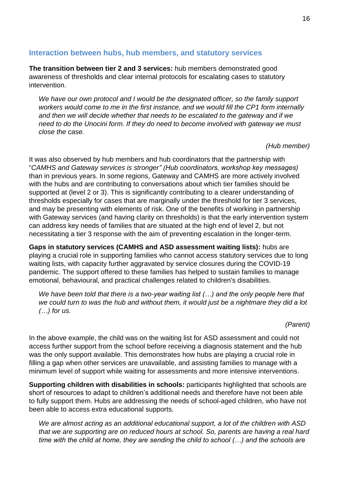#### <span id="page-20-0"></span>**Interaction between hubs, hub members, and statutory services**

**The transition between tier 2 and 3 services:** hub members demonstrated good awareness of thresholds and clear internal protocols for escalating cases to statutory intervention.

*We have our own protocol and I would be the designated officer, so the family support workers would come to me in the first instance, and we would fill the CP1 form internally and then we will decide whether that needs to be escalated to the gateway and if we need to do the Unocini form. If they do need to become involved with gateway we must close the case.*

*(Hub member)*

It was also observed by hub members and hub coordinators that the partnership with "*CAMHS and Gateway services is stronger" (Hub coordinators, workshop key messages)* than in previous years. In some regions, Gateway and CAMHS are more actively involved with the hubs and are contributing to conversations about which tier families should be supported at (level 2 or 3). This is significantly contributing to a clearer understanding of thresholds especially for cases that are marginally under the threshold for tier 3 services, and may be presenting with elements of risk. One of the benefits of working in partnership with Gateway services (and having clarity on thresholds) is that the early intervention system can address key needs of families that are situated at the high end of level 2, but not necessitating a tier 3 response with the aim of preventing escalation in the longer-term.

**Gaps in statutory services (CAMHS and ASD assessment waiting lists):** hubs are playing a crucial role in supporting families who cannot access statutory services due to long waiting lists, with capacity further aggravated by service closures during the COVID-19 pandemic. The support offered to these families has helped to sustain families to manage emotional, behavioural, and practical challenges related to children's disabilities.

*We have been told that there is a two-year waiting list (…) and the only people here that we could turn to was the hub and without them, it would just be a nightmare they did a lot (…) for us.*

*(Parent)*

In the above example, the child was on the waiting list for ASD assessment and could not access further support from the school before receiving a diagnosis statement and the hub was the only support available. This demonstrates how hubs are playing a crucial role in filling a gap when other services are unavailable, and assisting families to manage with a minimum level of support while waiting for assessments and more intensive interventions.

**Supporting children with disabilities in schools:** participants highlighted that schools are short of resources to adapt to children's additional needs and therefore have not been able to fully support them. Hubs are addressing the needs of school-aged children, who have not been able to access extra educational supports.

*We are almost acting as an additional educational support, a lot of the children with ASD that we are supporting are on reduced hours at school. So, parents are having a real hard time with the child at home, they are sending the child to school (…) and the schools are*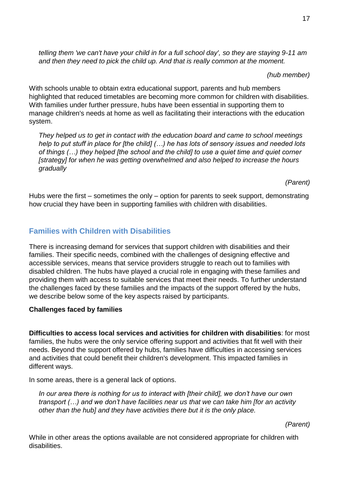*telling them 'we can't have your child in for a full school day', so they are staying 9-11 am and then they need to pick the child up. And that is really common at the moment.* 

*(hub member)*

With schools unable to obtain extra educational support, parents and hub members highlighted that reduced timetables are becoming more common for children with disabilities. With families under further pressure, hubs have been essential in supporting them to manage children's needs at home as well as facilitating their interactions with the education system.

*They helped us to get in contact with the education board and came to school meetings help to put stuff in place for [the child] (…) he has lots of sensory issues and needed lots of things (…) they helped [the school and the child] to use a quiet time and quiet corner [strategy] for when he was getting overwhelmed and also helped to increase the hours gradually*

*(Parent)*

Hubs were the first – sometimes the only – option for parents to seek support, demonstrating how crucial they have been in supporting families with children with disabilities.

# <span id="page-21-0"></span>**Families with Children with Disabilities**

There is increasing demand for services that support children with disabilities and their families. Their specific needs, combined with the challenges of designing effective and accessible services, means that service providers struggle to reach out to families with disabled children. The hubs have played a crucial role in engaging with these families and providing them with access to suitable services that meet their needs. To further understand the challenges faced by these families and the impacts of the support offered by the hubs, we describe below some of the key aspects raised by participants.

# **Challenges faced by families**

**Difficulties to access local services and activities for children with disabilities**: for most families, the hubs were the only service offering support and activities that fit well with their needs. Beyond the support offered by hubs, families have difficulties in accessing services and activities that could benefit their children's development. This impacted families in different ways.

In some areas, there is a general lack of options.

*In our area there is nothing for us to interact with [their child], we don't have our own transport (…) and we don't have facilities near us that we can take him [for an activity other than the hub] and they have activities there but it is the only place.* 

*(Parent)*

While in other areas the options available are not considered appropriate for children with disabilities.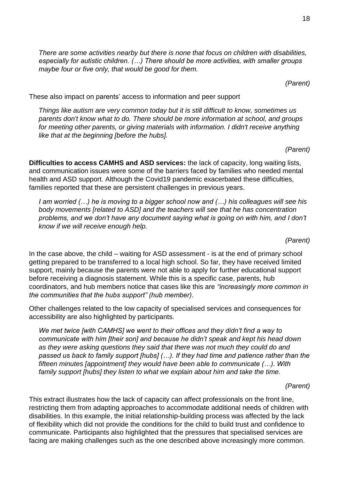*There are some activities nearby but there is none that focus on children with disabilities, especially for autistic children. (…) There should be more activities, with smaller groups maybe four or five only, that would be good for them.* 

These also impact on parents' access to information and peer support

*Things like autism are very common today but it is still difficult to know, sometimes us parents don't know what to do. There should be more information at school, and groups*  for meeting other parents, or giving materials with information. I didn't receive anything *like that at the beginning [before the hubs].* 

*(Parent)*

*(Parent)*

**Difficulties to access CAMHS and ASD services:** the lack of capacity, long waiting lists, and communication issues were some of the barriers faced by families who needed mental health and ASD support. Although the Covid19 pandemic exacerbated these difficulties, families reported that these are persistent challenges in previous years.

*I am worried (…) he is moving to a bigger school now and (…) his colleagues will see his body movements [related to ASD] and the teachers will see that he has concentration problems, and we don't have any document saying what is going on with him, and I don't know if we will receive enough help.* 

*(Parent)*

In the case above, the child – waiting for ASD assessment - is at the end of primary school getting prepared to be transferred to a local high school. So far, they have received limited support, mainly because the parents were not able to apply for further educational support before receiving a diagnosis statement. While this is a specific case, parents, hub coordinators, and hub members notice that cases like this are *"increasingly more common in the communities that the hubs support" (hub member)*.

Other challenges related to the low capacity of specialised services and consequences for accessibility are also highlighted by participants.

*We met twice [with CAMHS] we went to their offices and they didn't find a way to communicate with him [their son] and because he didn't speak and kept his head down as they were asking questions they said that there was not much they could do and passed us back to family support [hubs] (…). If they had time and patience rather than the fifteen minutes [appointment] they would have been able to communicate (…). With family support [hubs] they listen to what we explain about him and take the time.*

*(Parent)*

This extract illustrates how the lack of capacity can affect professionals on the front line, restricting them from adapting approaches to accommodate additional needs of children with disabilities. In this example, the initial relationship-building process was affected by the lack of flexibility which did not provide the conditions for the child to build trust and confidence to communicate. Participants also highlighted that the pressures that specialised services are facing are making challenges such as the one described above increasingly more common.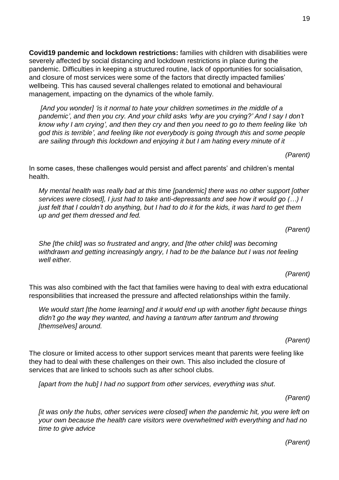19

**Covid19 pandemic and lockdown restrictions:** families with children with disabilities were severely affected by social distancing and lockdown restrictions in place during the pandemic. Difficulties in keeping a structured routine, lack of opportunities for socialisation, and closure of most services were some of the factors that directly impacted families' wellbeing. This has caused several challenges related to emotional and behavioural management, impacting on the dynamics of the whole family.

*[And you wonder] 'is it normal to hate your children sometimes in the middle of a pandemic', and then you cry. And your child asks 'why are you crying?' And I say I don't know why I am crying', and then they cry and then you need to go to them feeling like 'oh god this is terrible', and feeling like not everybody is going through this and some people are sailing through this lockdown and enjoying it but I am hating every minute of it* 

*(Parent)*

In some cases, these challenges would persist and affect parents' and children's mental health.

*My mental health was really bad at this time [pandemic] there was no other support [other services were closed], I just had to take anti-depressants and see how it would go (…) I just felt that I couldn't do anything, but I had to do it for the kids, it was hard to get them up and get them dressed and fed.*

*(Parent)*

*She [the child] was so frustrated and angry, and [the other child] was becoming withdrawn and getting increasingly angry, I had to be the balance but I was not feeling well either.*

*(Parent)*

This was also combined with the fact that families were having to deal with extra educational responsibilities that increased the pressure and affected relationships within the family.

*We would start [the home learning] and it would end up with another fight because things didn't go the way they wanted, and having a tantrum after tantrum and throwing [themselves] around.* 

*(Parent)*

The closure or limited access to other support services meant that parents were feeling like they had to deal with these challenges on their own. This also included the closure of services that are linked to schools such as after school clubs.

*[apart from the hub] I had no support from other services, everything was shut.*

*(Parent)*

*[it was only the hubs, other services were closed] when the pandemic hit, you were left on your own because the health care visitors were overwhelmed with everything and had no time to give advice* 

*(Parent)*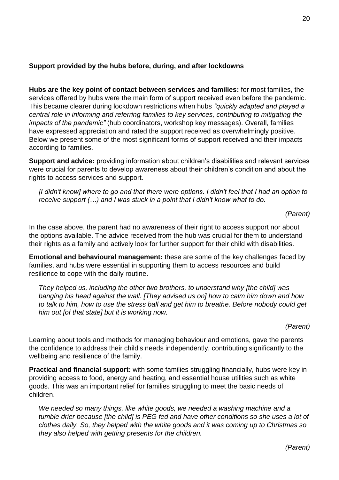#### **Support provided by the hubs before, during, and after lockdowns**

**Hubs are the key point of contact between services and families:** for most families, the services offered by hubs were the main form of support received even before the pandemic. This became clearer during lockdown restrictions when hubs *"quickly adapted and played a central role in informing and referring families to key services, contributing to mitigating the impacts of the pandemic"* (hub coordinators, workshop key messages). Overall, families have expressed appreciation and rated the support received as overwhelmingly positive. Below we present some of the most significant forms of support received and their impacts according to families.

**Support and advice:** providing information about children's disabilities and relevant services were crucial for parents to develop awareness about their children's condition and about the rights to access services and support.

*[I didn't know] where to go and that there were options. I didn't feel that I had an option to receive support (…) and I was stuck in a point that I didn't know what to do.* 

*(Parent)*

In the case above, the parent had no awareness of their right to access support nor about the options available. The advice received from the hub was crucial for them to understand their rights as a family and actively look for further support for their child with disabilities.

**Emotional and behavioural management:** these are some of the key challenges faced by families, and hubs were essential in supporting them to access resources and build resilience to cope with the daily routine.

*They helped us, including the other two brothers, to understand why [the child] was banging his head against the wall. [They advised us on] how to calm him down and how to talk to him, how to use the stress ball and get him to breathe. Before nobody could get him out [of that state] but it is working now.* 

*(Parent)*

Learning about tools and methods for managing behaviour and emotions, gave the parents the confidence to address their child's needs independently, contributing significantly to the wellbeing and resilience of the family.

**Practical and financial support:** with some families struggling financially, hubs were key in providing access to food, energy and heating, and essential house utilities such as white goods. This was an important relief for families struggling to meet the basic needs of children.

*We needed so many things, like white goods, we needed a washing machine and a tumble drier because [the child] is PEG fed and have other conditions so she uses a lot of clothes daily. So, they helped with the white goods and it was coming up to Christmas so they also helped with getting presents for the children.* 

*(Parent)*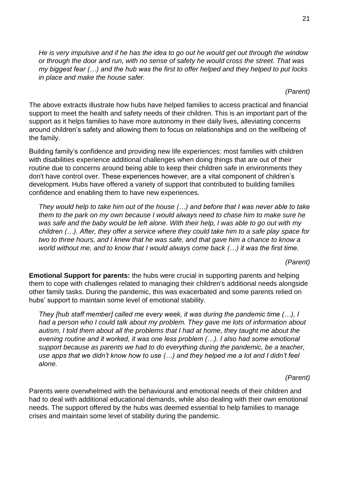*He is very impulsive and if he has the idea to go out he would get out through the window or through the door and run, with no sense of safety he would cross the street. That was my biggest fear (…) and the hub was the first to offer helped and they helped to put locks in place and make the house safer.* 

*(Parent)*

The above extracts illustrate how hubs have helped families to access practical and financial support to meet the health and safety needs of their children. This is an important part of the support as it helps families to have more autonomy in their daily lives, alleviating concerns around children's safety and allowing them to focus on relationships and on the wellbeing of the family.

Building family's confidence and providing new life experiences: most families with children with disabilities experience additional challenges when doing things that are out of their routine due to concerns around being able to keep their children safe in environments they don't have control over. These experiences however, are a vital component of children's development. Hubs have offered a variety of support that contributed to building families confidence and enabling them to have new experiences.

*They would help to take him out of the house (…) and before that I was never able to take them to the park on my own because I would always need to chase him to make sure he was safe and the baby would be left alone. With their help, I was able to go out with my children (…). After, they offer a service where they could take him to a safe play space for two to three hours, and I knew that he was safe, and that gave him a chance to know a world without me, and to know that I would always come back (…) it was the first time.*

*(Parent)*

**Emotional Support for parents:** the hubs were crucial in supporting parents and helping them to cope with challenges related to managing their children's additional needs alongside other family tasks. During the pandemic, this was exacerbated and some parents relied on hubs' support to maintain some level of emotional stability.

*They [hub staff member] called me every week, it was during the pandemic time (…), I had a person who I could talk about my problem. They gave me lots of information about autism, I told them about all the problems that I had at home, they taught me about the evening routine and it worked, it was one less problem (…). I also had some emotional support because as parents we had to do everything during the pandemic, be a teacher, use apps that we didn't know how to use (…) and they helped me a lot and I didn't feel alone.* 

*(Parent)*

Parents were overwhelmed with the behavioural and emotional needs of their children and had to deal with additional educational demands, while also dealing with their own emotional needs. The support offered by the hubs was deemed essential to help families to manage crises and maintain some level of stability during the pandemic.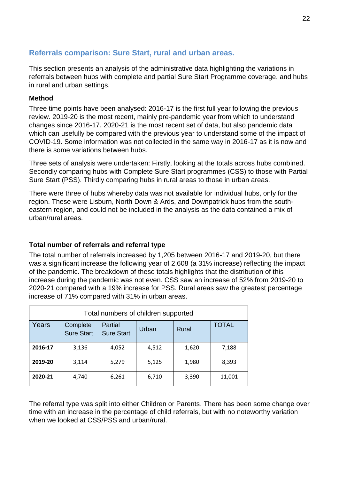# <span id="page-26-0"></span>**Referrals comparison: Sure Start, rural and urban areas.**

This section presents an analysis of the administrative data highlighting the variations in referrals between hubs with complete and partial Sure Start Programme coverage, and hubs in rural and urban settings.

#### **Method**

Three time points have been analysed: 2016-17 is the first full year following the previous review. 2019-20 is the most recent, mainly pre-pandemic year from which to understand changes since 2016-17. 2020-21 is the most recent set of data, but also pandemic data which can usefully be compared with the previous year to understand some of the impact of COVID-19. Some information was not collected in the same way in 2016-17 as it is now and there is some variations between hubs.

Three sets of analysis were undertaken: Firstly, looking at the totals across hubs combined. Secondly comparing hubs with Complete Sure Start programmes (CSS) to those with Partial Sure Start (PSS). Thirdly comparing hubs in rural areas to those in urban areas.

There were three of hubs whereby data was not available for individual hubs, only for the region. These were Lisburn, North Down & Ards, and Downpatrick hubs from the southeastern region, and could not be included in the analysis as the data contained a mix of urban/rural areas.

# **Total number of referrals and referral type**

The total number of referrals increased by 1,205 between 2016-17 and 2019-20, but there was a significant increase the following year of 2,608 (a 31% increase) reflecting the impact of the pandemic. The breakdown of these totals highlights that the distribution of this increase during the pandemic was not even. CSS saw an increase of 52% from 2019-20 to 2020-21 compared with a 19% increase for PSS. Rural areas saw the greatest percentage increase of 71% compared with 31% in urban areas.

| Total numbers of children supported |                               |                              |       |       |              |  |  |
|-------------------------------------|-------------------------------|------------------------------|-------|-------|--------------|--|--|
| Years                               | Complete<br><b>Sure Start</b> | Partial<br><b>Sure Start</b> | Urban | Rural | <b>TOTAL</b> |  |  |
| 2016-17                             | 3,136                         | 4,052                        | 4,512 | 1,620 | 7,188        |  |  |
| 2019-20                             | 3,114                         | 5,279                        | 5,125 | 1,980 | 8,393        |  |  |
| 2020-21                             | 4,740                         | 6,261                        | 6,710 | 3,390 | 11,001       |  |  |

The referral type was split into either Children or Parents. There has been some change over time with an increase in the percentage of child referrals, but with no noteworthy variation when we looked at CSS/PSS and urban/rural.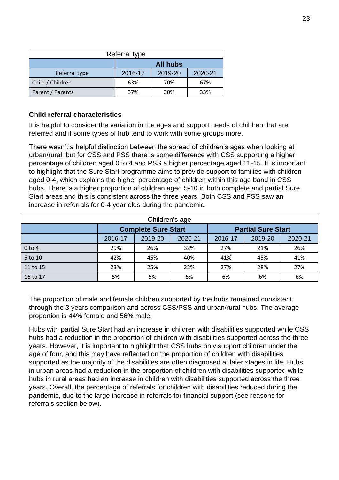| Referral type    |                 |         |         |  |  |
|------------------|-----------------|---------|---------|--|--|
|                  | <b>All hubs</b> |         |         |  |  |
| Referral type    | 2016-17         | 2019-20 | 2020-21 |  |  |
| Child / Children | 63%             | 70%     | 67%     |  |  |
| Parent / Parents | 37%             | 30%     | 33%     |  |  |

#### **Child referral characteristics**

It is helpful to consider the variation in the ages and support needs of children that are referred and if some types of hub tend to work with some groups more.

There wasn't a helpful distinction between the spread of children's ages when looking at urban/rural, but for CSS and PSS there is some difference with CSS supporting a higher percentage of children aged 0 to 4 and PSS a higher percentage aged 11-15. It is important to highlight that the Sure Start programme aims to provide support to families with children aged 0-4, which explains the higher percentage of children within this age band in CSS hubs. There is a higher proportion of children aged 5-10 in both complete and partial Sure Start areas and this is consistent across the three years. Both CSS and PSS saw an increase in referrals for 0-4 year olds during the pandemic.

| Children's age |         |                            |         |         |                           |         |  |
|----------------|---------|----------------------------|---------|---------|---------------------------|---------|--|
|                |         | <b>Complete Sure Start</b> |         |         | <b>Partial Sure Start</b> |         |  |
|                | 2016-17 | 2019-20                    | 2020-21 | 2016-17 | 2019-20                   | 2020-21 |  |
| $0$ to 4       | 29%     | 26%                        | 32%     | 27%     | 21%                       | 26%     |  |
| 5 to 10        | 42%     | 45%                        | 40%     | 41%     | 45%                       | 41%     |  |
| $11$ to 15     | 23%     | 25%                        | 22%     | 27%     | 28%                       | 27%     |  |
| 16 to 17       | 5%      | 5%                         | 6%      | 6%      | 6%                        | 6%      |  |

The proportion of male and female children supported by the hubs remained consistent through the 3 years comparison and across CSS/PSS and urban/rural hubs. The average proportion is 44% female and 56% male.

Hubs with partial Sure Start had an increase in children with disabilities supported while CSS hubs had a reduction in the proportion of children with disabilities supported across the three years. However, it is important to highlight that CSS hubs only support children under the age of four, and this may have reflected on the proportion of children with disabilities supported as the majority of the disabilities are often diagnosed at later stages in life. Hubs in urban areas had a reduction in the proportion of children with disabilities supported while hubs in rural areas had an increase in children with disabilities supported across the three years. Overall, the percentage of referrals for children with disabilities reduced during the pandemic, due to the large increase in referrals for financial support (see reasons for referrals section below).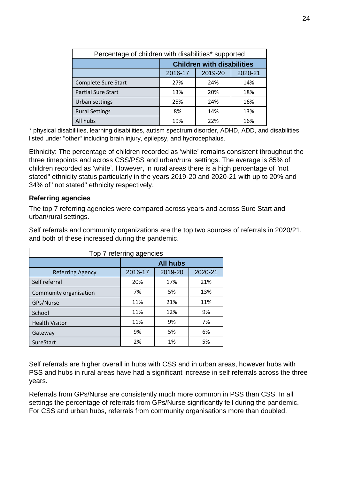| Percentage of children with disabilities* supported |                                   |     |     |  |  |  |  |
|-----------------------------------------------------|-----------------------------------|-----|-----|--|--|--|--|
|                                                     | <b>Children with disabilities</b> |     |     |  |  |  |  |
|                                                     | 2019-20<br>2016-17<br>2020-21     |     |     |  |  |  |  |
| Complete Sure Start                                 | 27%                               | 24% | 14% |  |  |  |  |
| <b>Partial Sure Start</b>                           | 13%                               | 20% | 18% |  |  |  |  |
| Urban settings                                      | 25%                               | 24% | 16% |  |  |  |  |
| <b>Rural Settings</b>                               | 8%                                | 14% | 13% |  |  |  |  |
| All hubs                                            | 19%                               | 22% | 16% |  |  |  |  |

\* physical disabilities, learning disabilities, autism spectrum disorder, ADHD, ADD, and disabilities listed under "other" including brain injury, epilepsy, and hydrocephalus.

Ethnicity: The percentage of children recorded as 'white' remains consistent throughout the three timepoints and across CSS/PSS and urban/rural settings. The average is 85% of children recorded as 'white'. However, in rural areas there is a high percentage of "not stated" ethnicity status particularly in the years 2019-20 and 2020-21 with up to 20% and 34% of "not stated" ethnicity respectively.

#### **Referring agencies**

The top 7 referring agencies were compared across years and across Sure Start and urban/rural settings.

Self referrals and community organizations are the top two sources of referrals in 2020/21, and both of these increased during the pandemic.

| Top 7 referring agencies |                               |     |     |  |  |  |
|--------------------------|-------------------------------|-----|-----|--|--|--|
|                          | <b>All hubs</b>               |     |     |  |  |  |
| <b>Referring Agency</b>  | 2019-20<br>2020-21<br>2016-17 |     |     |  |  |  |
| Self referral            | 20%                           | 17% | 21% |  |  |  |
| Community organisation   | 7%                            | 5%  | 13% |  |  |  |
| GPs/Nurse                | 11%                           | 21% | 11% |  |  |  |
| School                   | 11%                           | 12% | 9%  |  |  |  |
| <b>Health Visitor</b>    | 11%                           | 9%  | 7%  |  |  |  |
| Gateway                  | 9%                            | 5%  | 6%  |  |  |  |
| SureStart                | 2%                            | 1%  | 5%  |  |  |  |

Self referrals are higher overall in hubs with CSS and in urban areas, however hubs with PSS and hubs in rural areas have had a significant increase in self referrals across the three years.

Referrals from GPs/Nurse are consistently much more common in PSS than CSS. In all settings the percentage of referrals from GPs/Nurse significantly fell during the pandemic. For CSS and urban hubs, referrals from community organisations more than doubled.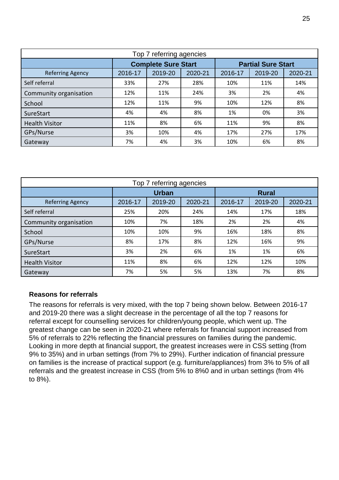| Top 7 referring agencies |                            |         |         |                           |         |         |  |
|--------------------------|----------------------------|---------|---------|---------------------------|---------|---------|--|
|                          | <b>Complete Sure Start</b> |         |         | <b>Partial Sure Start</b> |         |         |  |
| <b>Referring Agency</b>  | 2016-17                    | 2019-20 | 2020-21 | 2016-17                   | 2019-20 | 2020-21 |  |
| Self referral            | 33%                        | 27%     | 28%     | 10%                       | 11%     | 14%     |  |
| Community organisation   | 12%                        | 11%     | 24%     | 3%                        | 2%      | 4%      |  |
| School                   | 12%                        | 11%     | 9%      | 10%                       | 12%     | 8%      |  |
| SureStart                | 4%                         | 4%      | 8%      | 1%                        | 0%      | 3%      |  |
| <b>Health Visitor</b>    | 11%                        | 8%      | 6%      | 11%                       | 9%      | 8%      |  |
| GPs/Nurse                | 3%                         | 10%     | 4%      | 17%                       | 27%     | 17%     |  |
| Gateway                  | 7%                         | 4%      | 3%      | 10%                       | 6%      | 8%      |  |

| Top 7 referring agencies |              |         |         |         |         |         |  |              |  |
|--------------------------|--------------|---------|---------|---------|---------|---------|--|--------------|--|
|                          | <b>Urban</b> |         |         |         |         |         |  | <b>Rural</b> |  |
| <b>Referring Agency</b>  | 2016-17      | 2019-20 | 2020-21 | 2016-17 | 2019-20 | 2020-21 |  |              |  |
| Self referral            | 25%          | 20%     | 24%     | 14%     | 17%     | 18%     |  |              |  |
| Community organisation   | 10%          | 7%      | 18%     | 2%      | 2%      | 4%      |  |              |  |
| School                   | 10%          | 10%     | 9%      | 16%     | 18%     | 8%      |  |              |  |
| GPs/Nurse                | 8%           | 17%     | 8%      | 12%     | 16%     | 9%      |  |              |  |
| SureStart                | 3%           | 2%      | 6%      | 1%      | 1%      | 6%      |  |              |  |
| <b>Health Visitor</b>    | 11%          | 8%      | 6%      | 12%     | 12%     | 10%     |  |              |  |
| Gateway                  | 7%           | 5%      | 5%      | 13%     | 7%      | 8%      |  |              |  |

#### **Reasons for referrals**

The reasons for referrals is very mixed, with the top 7 being shown below. Between 2016-17 and 2019-20 there was a slight decrease in the percentage of all the top 7 reasons for referral except for counselling services for children/young people, which went up. The greatest change can be seen in 2020-21 where referrals for financial support increased from 5% of referrals to 22% reflecting the financial pressures on families during the pandemic. Looking in more depth at financial support, the greatest increases were in CSS setting (from 9% to 35%) and in urban settings (from 7% to 29%). Further indication of financial pressure on families is the increase of practical support (e.g. furniture/appliances) from 3% to 5% of all referrals and the greatest increase in CSS (from 5% to 8%0 and in urban settings (from 4% to 8%).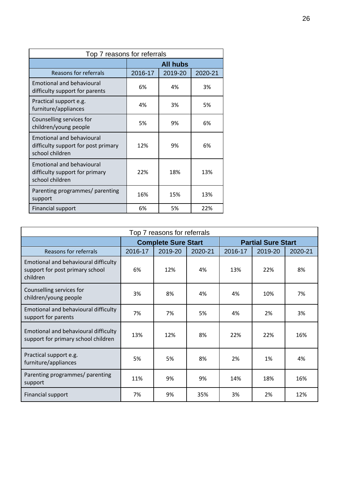| Top 7 reasons for referrals                                                                |                 |         |         |  |  |  |
|--------------------------------------------------------------------------------------------|-----------------|---------|---------|--|--|--|
|                                                                                            | <b>All hubs</b> |         |         |  |  |  |
| Reasons for referrals                                                                      | 2016-17         | 2019-20 | 2020-21 |  |  |  |
| <b>Emotional and behavioural</b><br>difficulty support for parents                         | 6%              | 4%      | 3%      |  |  |  |
| Practical support e.g.<br>furniture/appliances                                             | 4%              | 3%      | 5%      |  |  |  |
| Counselling services for<br>children/young people                                          | 5%              | 9%      | 6%      |  |  |  |
| <b>Emotional and behavioural</b><br>difficulty support for post primary<br>school children | 12%             | 9%      | 6%      |  |  |  |
| <b>Emotional and behavioural</b><br>difficulty support for primary<br>school children      | 22%             | 18%     | 13%     |  |  |  |
| Parenting programmes/ parenting<br>support                                                 | 16%             | 15%     | 13%     |  |  |  |
| <b>Financial support</b>                                                                   | 6%              | 5%      | 22%     |  |  |  |

| Top 7 reasons for referrals                                                         |                            |         |         |                           |         |         |  |
|-------------------------------------------------------------------------------------|----------------------------|---------|---------|---------------------------|---------|---------|--|
|                                                                                     | <b>Complete Sure Start</b> |         |         | <b>Partial Sure Start</b> |         |         |  |
| <b>Reasons for referrals</b>                                                        | 2016-17                    | 2019-20 | 2020-21 | 2016-17                   | 2019-20 | 2020-21 |  |
| Emotional and behavioural difficulty<br>support for post primary school<br>children | 6%                         | 12%     | 4%      | 13%                       | 22%     | 8%      |  |
| Counselling services for<br>children/young people                                   | 3%                         | 8%      | 4%      | 4%                        | 10%     | 7%      |  |
| Emotional and behavioural difficulty<br>support for parents                         | 7%                         | 7%      | 5%      | 4%                        | 2%      | 3%      |  |
| Emotional and behavioural difficulty<br>support for primary school children         | 13%                        | 12%     | 8%      | 22%                       | 22%     | 16%     |  |
| Practical support e.g.<br>furniture/appliances                                      | 5%                         | 5%      | 8%      | 2%                        | 1%      | 4%      |  |
| Parenting programmes/ parenting<br>support                                          | 11%                        | 9%      | 9%      | 14%                       | 18%     | 16%     |  |
| Financial support                                                                   | 7%                         | 9%      | 35%     | 3%                        | 2%      | 12%     |  |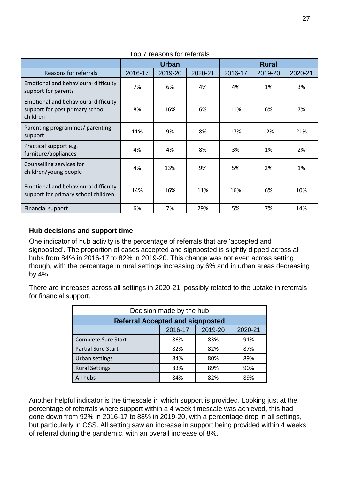| Top 7 reasons for referrals                                                         |         |              |         |         |              |         |  |
|-------------------------------------------------------------------------------------|---------|--------------|---------|---------|--------------|---------|--|
|                                                                                     |         | <b>Urban</b> |         |         | <b>Rural</b> |         |  |
| Reasons for referrals                                                               | 2016-17 | 2019-20      | 2020-21 | 2016-17 | 2019-20      | 2020-21 |  |
| Emotional and behavioural difficulty<br>support for parents                         | 7%      | 6%           | 4%      | 4%      | 1%           | 3%      |  |
| Emotional and behavioural difficulty<br>support for post primary school<br>children | 8%      | 16%          | 6%      | 11%     | 6%           | 7%      |  |
| Parenting programmes/ parenting<br>support                                          | 11%     | 9%           | 8%      | 17%     | 12%          | 21%     |  |
| Practical support e.g.<br>furniture/appliances                                      | 4%      | 4%           | 8%      | 3%      | 1%           | 2%      |  |
| Counselling services for<br>children/young people                                   | 4%      | 13%          | 9%      | 5%      | 2%           | 1%      |  |
| Emotional and behavioural difficulty<br>support for primary school children         | 14%     | 16%          | 11%     | 16%     | 6%           | 10%     |  |
| <b>Financial support</b>                                                            | 6%      | 7%           | 29%     | 5%      | 7%           | 14%     |  |

### **Hub decisions and support time**

One indicator of hub activity is the percentage of referrals that are 'accepted and signposted'. The proportion of cases accepted and signposted is slightly dipped across all hubs from 84% in 2016-17 to 82% in 2019-20. This change was not even across setting though, with the percentage in rural settings increasing by 6% and in urban areas decreasing by 4%.

There are increases across all settings in 2020-21, possibly related to the uptake in referrals for financial support.

| Decision made by the hub                |     |     |     |  |  |  |
|-----------------------------------------|-----|-----|-----|--|--|--|
| <b>Referral Accepted and signposted</b> |     |     |     |  |  |  |
| 2019-20<br>2016-17<br>2020-21           |     |     |     |  |  |  |
| <b>Complete Sure Start</b>              | 86% | 83% | 91% |  |  |  |
| <b>Partial Sure Start</b>               | 82% | 82% | 87% |  |  |  |
| Urban settings                          | 84% | 80% | 89% |  |  |  |
| <b>Rural Settings</b>                   | 83% | 89% | 90% |  |  |  |
| All hubs                                | 84% | 82% | 89% |  |  |  |

Another helpful indicator is the timescale in which support is provided. Looking just at the percentage of referrals where support within a 4 week timescale was achieved, this had gone down from 92% in 2016-17 to 88% in 2019-20, with a percentage drop in all settings, but particularly in CSS. All setting saw an increase in support being provided within 4 weeks of referral during the pandemic, with an overall increase of 8%.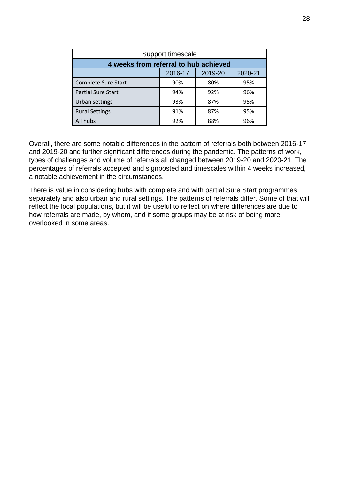| Support timescale                     |         |         |         |
|---------------------------------------|---------|---------|---------|
| 4 weeks from referral to hub achieved |         |         |         |
|                                       | 2016-17 | 2019-20 | 2020-21 |
| <b>Complete Sure Start</b>            | 90%     | 80%     | 95%     |
| <b>Partial Sure Start</b>             | 94%     | 92%     | 96%     |
| Urban settings                        | 93%     | 87%     | 95%     |
| <b>Rural Settings</b>                 | 91%     | 87%     | 95%     |
| All hubs                              | 92%     | 88%     | 96%     |

Overall, there are some notable differences in the pattern of referrals both between 2016-17 and 2019-20 and further significant differences during the pandemic. The patterns of work, types of challenges and volume of referrals all changed between 2019-20 and 2020-21. The percentages of referrals accepted and signposted and timescales within 4 weeks increased, a notable achievement in the circumstances.

There is value in considering hubs with complete and with partial Sure Start programmes separately and also urban and rural settings. The patterns of referrals differ. Some of that will reflect the local populations, but it will be useful to reflect on where differences are due to how referrals are made, by whom, and if some groups may be at risk of being more overlooked in some areas.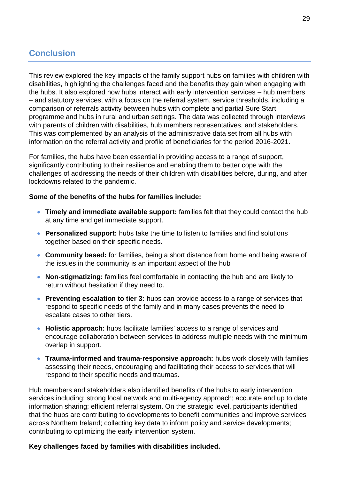# <span id="page-33-0"></span>**Conclusion**

This review explored the key impacts of the family support hubs on families with children with disabilities, highlighting the challenges faced and the benefits they gain when engaging with the hubs. It also explored how hubs interact with early intervention services – hub members – and statutory services, with a focus on the referral system, service thresholds, including a comparison of referrals activity between hubs with complete and partial Sure Start programme and hubs in rural and urban settings. The data was collected through interviews with parents of children with disabilities, hub members representatives, and stakeholders. This was complemented by an analysis of the administrative data set from all hubs with information on the referral activity and profile of beneficiaries for the period 2016-2021.

For families, the hubs have been essential in providing access to a range of support, significantly contributing to their resilience and enabling them to better cope with the challenges of addressing the needs of their children with disabilities before, during, and after lockdowns related to the pandemic.

#### **Some of the benefits of the hubs for families include:**

- **Timely and immediate available support:** families felt that they could contact the hub at any time and get immediate support.
- **Personalized support:** hubs take the time to listen to families and find solutions together based on their specific needs.
- **Community based:** for families, being a short distance from home and being aware of the issues in the community is an important aspect of the hub
- **Non-stigmatizing:** families feel comfortable in contacting the hub and are likely to return without hesitation if they need to.
- **Preventing escalation to tier 3:** hubs can provide access to a range of services that respond to specific needs of the family and in many cases prevents the need to escalate cases to other tiers.
- **Holistic approach:** hubs facilitate families' access to a range of services and encourage collaboration between services to address multiple needs with the minimum overlap in support.
- **Trauma-informed and trauma-responsive approach:** hubs work closely with families assessing their needs, encouraging and facilitating their access to services that will respond to their specific needs and traumas.

Hub members and stakeholders also identified benefits of the hubs to early intervention services including: strong local network and multi-agency approach; accurate and up to date information sharing; efficient referral system. On the strategic level, participants identified that the hubs are contributing to developments to benefit communities and improve services across Northern Ireland; collecting key data to inform policy and service developments; contributing to optimizing the early intervention system.

#### **Key challenges faced by families with disabilities included.**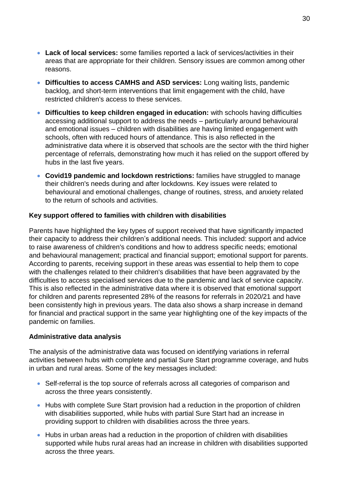- **Lack of local services:** some families reported a lack of services/activities in their areas that are appropriate for their children. Sensory issues are common among other reasons.
- **Difficulties to access CAMHS and ASD services:** Long waiting lists, pandemic backlog, and short-term interventions that limit engagement with the child, have restricted children's access to these services.
- **Difficulties to keep children engaged in education:** with schools having difficulties accessing additional support to address the needs – particularly around behavioural and emotional issues – children with disabilities are having limited engagement with schools, often with reduced hours of attendance. This is also reflected in the administrative data where it is observed that schools are the sector with the third higher percentage of referrals, demonstrating how much it has relied on the support offered by hubs in the last five years.
- **Covid19 pandemic and lockdown restrictions:** families have struggled to manage their children's needs during and after lockdowns. Key issues were related to behavioural and emotional challenges, change of routines, stress, and anxiety related to the return of schools and activities.

#### **Key support offered to families with children with disabilities**

Parents have highlighted the key types of support received that have significantly impacted their capacity to address their children's additional needs. This included: support and advice to raise awareness of children's conditions and how to address specific needs; emotional and behavioural management; practical and financial support; emotional support for parents. According to parents, receiving support in these areas was essential to help them to cope with the challenges related to their children's disabilities that have been aggravated by the difficulties to access specialised services due to the pandemic and lack of service capacity. This is also reflected in the administrative data where it is observed that emotional support for children and parents represented 28% of the reasons for referrals in 2020/21 and have been consistently high in previous years. The data also shows a sharp increase in demand for financial and practical support in the same year highlighting one of the key impacts of the pandemic on families.

#### **Administrative data analysis**

The analysis of the administrative data was focused on identifying variations in referral activities between hubs with complete and partial Sure Start programme coverage, and hubs in urban and rural areas. Some of the key messages included:

- Self-referral is the top source of referrals across all categories of comparison and across the three years consistently.
- Hubs with complete Sure Start provision had a reduction in the proportion of children with disabilities supported, while hubs with partial Sure Start had an increase in providing support to children with disabilities across the three years.
- Hubs in urban areas had a reduction in the proportion of children with disabilities supported while hubs rural areas had an increase in children with disabilities supported across the three years.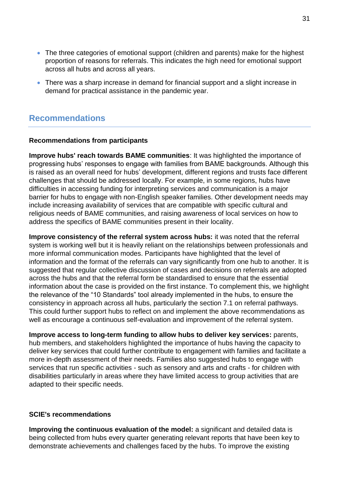- The three categories of emotional support (children and parents) make for the highest proportion of reasons for referrals. This indicates the high need for emotional support across all hubs and across all years.
- There was a sharp increase in demand for financial support and a slight increase in demand for practical assistance in the pandemic year.

# <span id="page-35-0"></span>**Recommendations**

#### **Recommendations from participants**

**Improve hubs' reach towards BAME communities**: It was highlighted the importance of progressing hubs' responses to engage with families from BAME backgrounds. Although this is raised as an overall need for hubs' development, different regions and trusts face different challenges that should be addressed locally. For example, in some regions, hubs have difficulties in accessing funding for interpreting services and communication is a major barrier for hubs to engage with non-English speaker families. Other development needs may include increasing availability of services that are compatible with specific cultural and religious needs of BAME communities, and raising awareness of local services on how to address the specifics of BAME communities present in their locality.

**Improve consistency of the referral system across hubs:** it was noted that the referral system is working well but it is heavily reliant on the relationships between professionals and more informal communication modes. Participants have highlighted that the level of information and the format of the referrals can vary significantly from one hub to another. It is suggested that regular collective discussion of cases and decisions on referrals are adopted across the hubs and that the referral form be standardised to ensure that the essential information about the case is provided on the first instance. To complement this, we highlight the relevance of the "10 Standards" tool already implemented in the hubs, to ensure the consistency in approach across all hubs, particularly the section 7.1 on referral pathways. This could further support hubs to reflect on and implement the above recommendations as well as encourage a continuous self-evaluation and improvement of the referral system.

**Improve access to long-term funding to allow hubs to deliver key services:** parents, hub members, and stakeholders highlighted the importance of hubs having the capacity to deliver key services that could further contribute to engagement with families and facilitate a more in-depth assessment of their needs. Families also suggested hubs to engage with services that run specific activities - such as sensory and arts and crafts - for children with disabilities particularly in areas where they have limited access to group activities that are adapted to their specific needs.

#### **SCIE's recommendations**

**Improving the continuous evaluation of the model:** a significant and detailed data is being collected from hubs every quarter generating relevant reports that have been key to demonstrate achievements and challenges faced by the hubs. To improve the existing